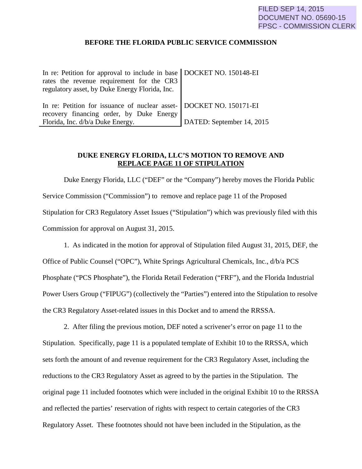## **BEFORE THE FLORIDA PUBLIC SERVICE COMMISSION**

| In re: Petition for approval to include in base   DOCKET NO. 150148-EI                                          |                           |
|-----------------------------------------------------------------------------------------------------------------|---------------------------|
| rates the revenue requirement for the CR3<br>regulatory asset, by Duke Energy Florida, Inc.                     |                           |
|                                                                                                                 |                           |
| In re: Petition for issuance of nuclear asset- DOCKET NO. 150171-EI<br>recovery financing order, by Duke Energy |                           |
| Florida, Inc. d/b/a Duke Energy.                                                                                | DATED: September 14, 2015 |

## **DUKE ENERGY FLORIDA, LLC'S MOTION TO REMOVE AND REPLACE PAGE 11 OF STIPULATION**

Duke Energy Florida, LLC ("DEF" or the "Company") hereby moves the Florida Public Service Commission ("Commission") to remove and replace page 11 of the Proposed Stipulation for CR3 Regulatory Asset Issues ("Stipulation") which was previously filed with this Commission for approval on August 31, 2015.

1. As indicated in the motion for approval of Stipulation filed August 31, 2015, DEF, the Office of Public Counsel ("OPC"), White Springs Agricultural Chemicals, Inc., d/b/a PCS Phosphate ("PCS Phosphate"), the Florida Retail Federation ("FRF"), and the Florida Industrial Power Users Group ("FIPUG") (collectively the "Parties") entered into the Stipulation to resolve the CR3 Regulatory Asset-related issues in this Docket and to amend the RRSSA.

2. After filing the previous motion, DEF noted a scrivener's error on page 11 to the Stipulation. Specifically, page 11 is a populated template of Exhibit 10 to the RRSSA, which sets forth the amount of and revenue requirement for the CR3 Regulatory Asset, including the reductions to the CR3 Regulatory Asset as agreed to by the parties in the Stipulation. The original page 11 included footnotes which were included in the original Exhibit 10 to the RRSSA and reflected the parties' reservation of rights with respect to certain categories of the CR3 Regulatory Asset. These footnotes should not have been included in the Stipulation, as the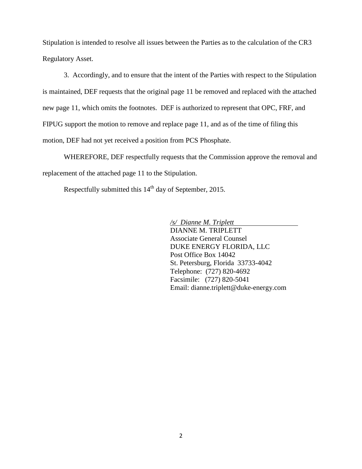Stipulation is intended to resolve all issues between the Parties as to the calculation of the CR3 Regulatory Asset.

3. Accordingly, and to ensure that the intent of the Parties with respect to the Stipulation is maintained, DEF requests that the original page 11 be removed and replaced with the attached new page 11, which omits the footnotes. DEF is authorized to represent that OPC, FRF, and FIPUG support the motion to remove and replace page 11, and as of the time of filing this motion, DEF had not yet received a position from PCS Phosphate.

WHEREFORE, DEF respectfully requests that the Commission approve the removal and replacement of the attached page 11 to the Stipulation.

Respectfully submitted this 14<sup>th</sup> day of September, 2015.

*/s/ Dianne M. Triplett*  DIANNE M. TRIPLETT Associate General Counsel DUKE ENERGY FLORIDA, LLC Post Office Box 14042 St. Petersburg, Florida 33733-4042 Telephone: (727) 820-4692 Facsimile: (727) 820-5041 Email: dianne.triplett@duke-energy.com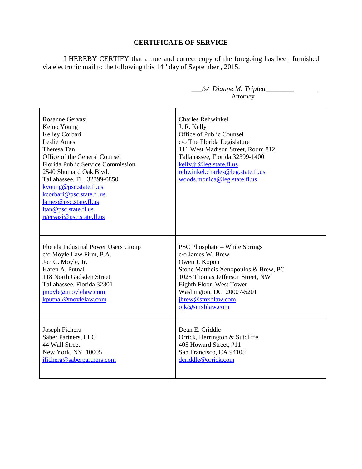# **CERTIFICATE OF SERVICE**

I HEREBY CERTIFY that a true and correct copy of the foregoing has been furnished via electronic mail to the following this  $14<sup>th</sup>$  day of September, 2015.

|                                                                                                                                                                                                                                                                                                                                                 | /s/ Dianne M. Triplett                                                                                                                                                                                                                                                      |
|-------------------------------------------------------------------------------------------------------------------------------------------------------------------------------------------------------------------------------------------------------------------------------------------------------------------------------------------------|-----------------------------------------------------------------------------------------------------------------------------------------------------------------------------------------------------------------------------------------------------------------------------|
|                                                                                                                                                                                                                                                                                                                                                 | Attorney                                                                                                                                                                                                                                                                    |
| Rosanne Gervasi<br>Keino Young<br>Kelley Corbari<br>Leslie Ames<br>Theresa Tan<br>Office of the General Counsel<br>Florida Public Service Commission<br>2540 Shumard Oak Blvd.<br>Tallahassee, FL 32399-0850<br>kyoung@psc.state.fl.us<br>kcorbari@psc.state.fl.us<br>lames@psc.state.fl.us<br>ltan@psc.state.fl.us<br>rgervasi@psc.state.fl.us | <b>Charles Rehwinkel</b><br>J. R. Kelly<br>Office of Public Counsel<br>c/o The Florida Legislature<br>111 West Madison Street, Room 812<br>Tallahassee, Florida 32399-1400<br>kelly.jr@leg.state.fl.us<br>rehwinkel.charles@leg.state.fl.us<br>woods.monica@leg.state.fl.us |
| Florida Industrial Power Users Group<br>c/o Moyle Law Firm, P.A.<br>Jon C. Moyle, Jr.<br>Karen A. Putnal<br>118 North Gadsden Street<br>Tallahassee, Florida 32301<br>jmoyle@moylelaw.com<br>kputnal@moylelaw.com                                                                                                                               | <b>PSC Phosphate – White Springs</b><br>c/o James W. Brew<br>Owen J. Kopon<br>Stone Mattheis Xenopoulos & Brew, PC<br>1025 Thomas Jefferson Street, NW<br>Eighth Floor, West Tower<br>Washington, DC 20007-5201<br>jbrew@smxblaw.com<br>ojk@smxblaw.com                     |
| Joseph Fichera<br>Saber Partners, LLC<br>44 Wall Street<br>New York, NY 10005<br>jfichera@saberpartners.com                                                                                                                                                                                                                                     | Dean E. Criddle<br>Orrick, Herrington & Sutcliffe<br>405 Howard Street, #11<br>San Francisco, CA 94105<br>dcriddle@orrick.com                                                                                                                                               |